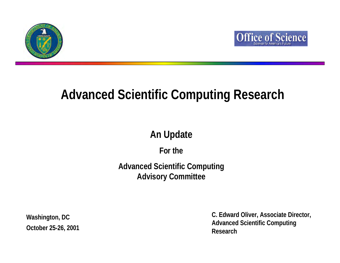



# **Advanced Scientific Computing Research**

## **An Update**

**For the** 

**Advanced Scientific Computing Advisory Committee**

**Washington, DC October 25-26, 2001** **C. Edward Oliver, Associate Director, Advanced Scientific Computing Research**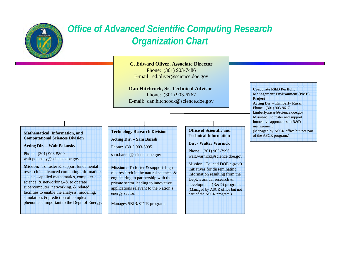

### *Office of Advanced Scientific Computing Research Organization Chart*

#### **C. Edward Oliver, Associate Director**

Phone: (301) 903-7486 E-mail: ed.oliver@science.doe.gov

**Dan Hitchcock, Sr. Technical Advisor** Phone: (301) 903-6767 E-mail: dan.hitchcock@science.doe.gov

#### **Mathematical, Information, and Computational Sciences Division**

**Acting Dir. – Walt Polansky**

Phone: (301) 903-5800 walt.polansky@science.doe.gov

**Mission:** To foster & support fundamental research in advanced computing information science--applied mathematics, computer science, & networking--& to operate supercomputer, networking, & related facilities to enable the analysis, modeling, simulation, & prediction of complex phenomena important to the Dept. of Energy.

#### **Technology Research Division**

**Acting Dir. – Sam Barish**

Phone: (301) 903-5995

sam.barish@science.doe.gov

**Mission:** To foster & support highrisk research in the natural sciences &engineering in partnership with the private sector leading to innovative applications relevant to the Nation's energy sector.

Manages SBIR/STTR program.

**Office of Scientific and Technical Information**

**Dir. - Walter Warnick**

Phone: (301) 903-7996 walt.warnick@science.doe.gov

Mission: To lead DOE e-gov't initiatives for disseminating information resulting from the Dept.'s annual research & development (R&D) program. (Managed by ASCR office but not part of the ASCR program.)

**Corporate R&D Portfolio Management Environment (PME) Project Acting Dir. – Kimberly Rasar** Phone: (301) 903-9617 kimberly.rasar@science.doe.gov **Mission:** To foster and support innovative approaches to R&D management. (Managed by ASCR office but not part of the ASCR program.)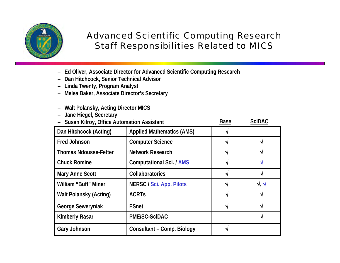

#### Advanced Scientific Computing Research Staff Responsibilities Related to MICS

- **Ed Oliver, Associate Director for Advanced Scientific Computing Research**
- **Dan Hitchcock, Senior Technical Advisor**
- **Linda Twenty, Program Analyst**
- **Melea Baker, Associate Director's Secretary**
- **Walt Polansky, Acting Director MICS**
- **Jane Hiegel, Secretary**

| Susan Kilroy, Office Automation Assistant |                                  | <b>Base</b>  | <b>SciDAC</b> |
|-------------------------------------------|----------------------------------|--------------|---------------|
| Dan Hitchcock (Acting)                    | <b>Applied Mathematics (AMS)</b> |              |               |
| <b>Fred Johnson</b>                       | <b>Computer Science</b>          |              |               |
| <b>Thomas Ndousse-Fetter</b>              | <b>Network Research</b>          | ٦            |               |
| <b>Chuck Romine</b>                       | <b>Computational Sci. / AMS</b>  | $\mathbf{v}$ |               |
| <b>Mary Anne Scott</b>                    | Collaboratories                  |              |               |
| William "Buff" Miner                      | <b>NERSC / Sci. App. Pilots</b>  |              | $\sqrt{2}$    |
| <b>Walt Polansky (Acting)</b>             | <b>ACRT<sub>S</sub></b>          | ٦            | N             |
| <b>George Seweryniak</b>                  | <b>ESnet</b>                     | ٦            |               |
| <b>Kimberly Rasar</b>                     | <b>PME/SC-SciDAC</b>             |              |               |
| <b>Gary Johnson</b>                       | Consultant – Comp. Biology       | ٦            |               |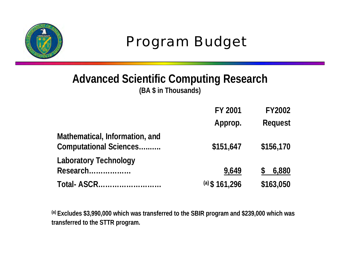

# Program Budget

### **Advanced Scientific Computing Research (BA \$ in Thousands)**

|                                                                 | FY 2001          | <b>FY2002</b> |
|-----------------------------------------------------------------|------------------|---------------|
|                                                                 | Approp.          | Request       |
| Mathematical, Information, and<br><b>Computational Sciences</b> | \$151,647        | \$156,170     |
| <b>Laboratory Technology</b><br>Research                        | 9,649            | 6,880         |
| Total- ASCR                                                     | $(a)$ \$ 161,296 | \$163,050     |

**(a) Excludes \$3,990,000 which was transferred to the SBIR program and \$239,000 which was transferred to the STTR program.**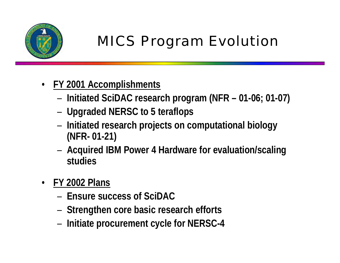

# MICS Program Evolution

- $\bullet$  **FY 2001 Accomplishments**
	- –**Initiated SciDAC research program (NFR – 01-06; 01-07)**
	- –**Upgraded NERSC to 5 teraflops**
	- – **Initiated research projects on computational biology (NFR- 01-21)**
	- – **Acquired IBM Power 4 Hardware for evaluation/scaling studies**
- $\bullet$  **FY 2002 Plans**
	- **Ensure success of SciDAC**
	- –**Strengthen core basic research efforts**
	- –**Initiate procurement cycle for NERSC-4**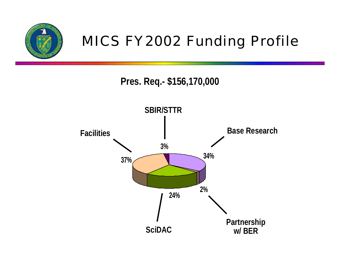

# MICS FY2002 Funding Profile

### **Pres. Req.- \$156,170,000**